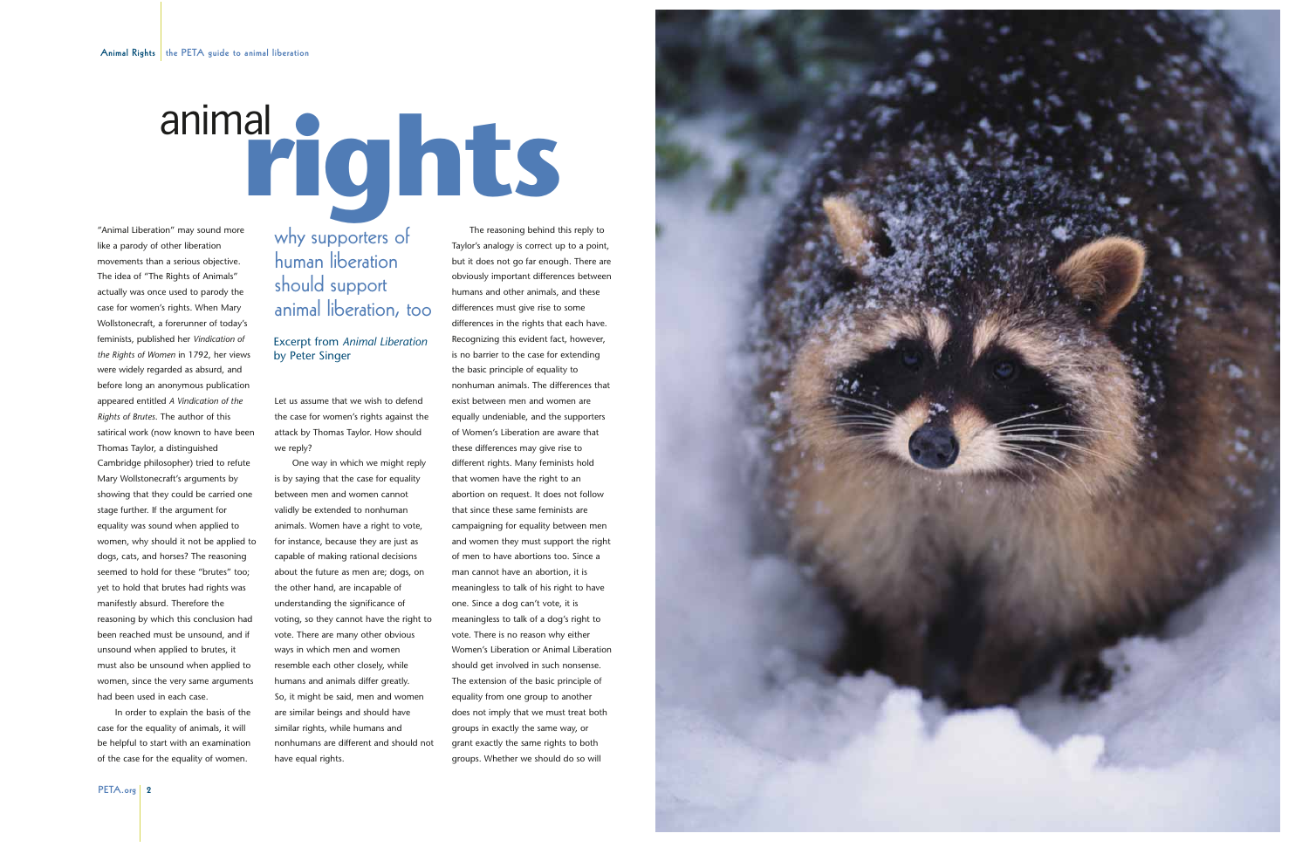"Animal Liberation" may sound more like a parody of other liberation movements than a serious objective. The idea of "The Rights of Animals" actually was once used to parody the case for women's rights. When Mary Wollstonecraft, a forerunner of today's feminists, published her *Vindication of the Rights of Women* in 1792, her views were widely regarded as absurd, and before long an anonymous publication appeared entitled *A Vindication of the Rights of Brutes*. The author of this satirical work (now known to have been Thomas Taylor, a distinguished Cambridge philosopher) tried to refute Mary Wollstonecraft's arguments by showing that they could be carried one stage further. If the argument for equality was sound when applied to women, why should it not be applied to dogs, cats, and horses? The reasoning seemed to hold for these "brutes" too; yet to hold that brutes had rights was manifestly absurd. Therefore the reasoning by which this conclusion had been reached must be unsound, and if unsound when applied to brutes, it must also be unsound when applied to women, since the very same arguments had been used in each case.

In order to explain the basis of the case for the equality of animals, it will be helpful to start with an examination of the case for the equality of women.

Let us assume that we wish to defend the case for women's rights against the attack by Thomas Taylor. How should we reply?

## why supporters of human liberation should support animal liberation, too

One way in which we might reply is by saying that the case for equality between men and women cannot validly be extended to nonhuman animals. Women have a right to vote, for instance, because they are just as capable of making rational decisions about the future as men are; dogs, on the other hand, are incapable of understanding the significance of voting, so they cannot have the right to vote. There are many other obvious ways in which men and women resemble each other closely, while humans and animals differ greatly. So, it might be said, men and women are similar beings and should have similar rights, while humans and nonhumans are different and should not have equal rights.

The reasoning behind this reply to Taylor's analogy is correct up to a point, but it does not go far enough. There are obviously important differences between humans and other animals, and these differences must give rise to some differences in the rights that each have. Recognizing this evident fact, however, is no barrier to the case for extending the basic principle of equality to nonhuman animals. The differences that exist between men and women are equally undeniable, and the supporters of Women's Liberation are aware that these differences may give rise to different rights. Many feminists hold that women have the right to an abortion on request. It does not follow that since these same feminists are campaigning for equality between men and women they must support the right of men to have abortions too. Since a man cannot have an abortion, it is meaningless to talk of his right to have one. Since a dog can't vote, it is meaningless to talk of a dog's right to vote. There is no reason why either Women's Liberation or Animal Liberation should get involved in such nonsense. The extension of the basic principle of equality from one group to another does not imply that we must treat both groups in exactly the same way, or grant exactly the same rights to both groups. Whether we should do so will



# animal**rights**

#### Excerpt from *Animal Liberation* by Peter Singer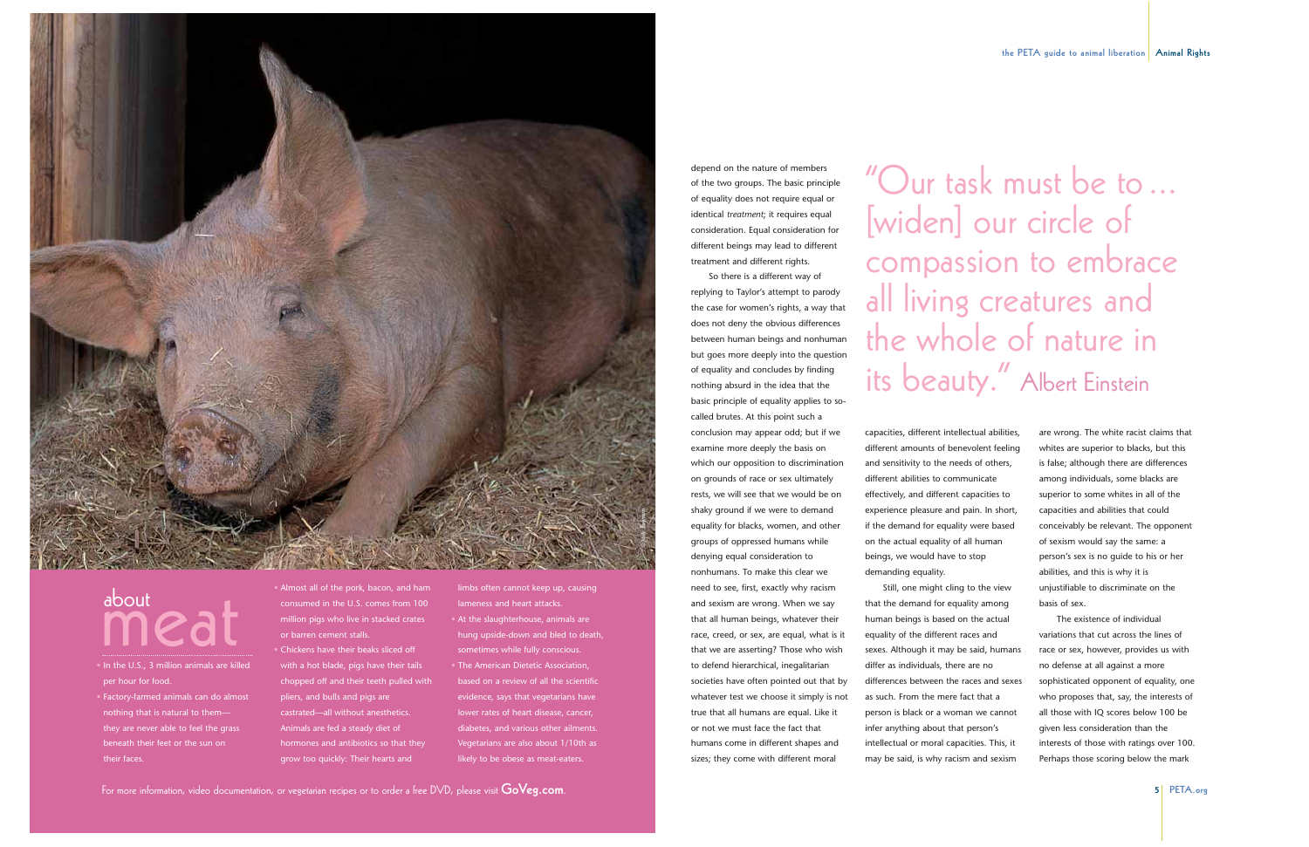depend on the nature of members of the two groups. The basic principle of equality does not require equal or identical *treatment*; it requires equal consideration. Equal consideration for different beings may lead to different treatment and different rights.

So there is a different way of replying to Taylor's attempt to parody the case for women's rights, a way that does not deny the obvious differences between human beings and nonhuman but goes more deeply into the question of equality and concludes by finding nothing absurd in the idea that the basic principle of equality applies to socalled brutes. At this point such a conclusion may appear odd; but if we examine more deeply the basis on which our opposition to discrimination on grounds of race or sex ultimately rests, we will see that we would be on shaky ground if we were to demand equality for blacks, women, and other groups of oppressed humans while denying equal consideration to nonhumans. To make this clear we need to see, first, exactly why racism and sexism are wrong. When we say that all human beings, whatever their race, creed, or sex, are equal, what is it that we are asserting? Those who wish to defend hierarchical, inegalitarian societies have often pointed out that by whatever test we choose it simply is not true that all humans are equal. Like it or not we must face the fact that humans come in different shapes and sizes; they come with different moral

capacities, different intellectual abilities, different amounts of benevolent feeling and sensitivity to the needs of others, different abilities to communicate effectively, and different capacities to experience pleasure and pain. In short, if the demand for equality were based on the actual equality of all human beings, we would have to stop demanding equality.

Still, one might cling to the view that the demand for equality among human beings is based on the actual equality of the different races and sexes. Although it may be said, humans differ as individuals, there are no differences between the races and sexes as such. From the mere fact that a person is black or a woman we cannot infer anything about that person's intellectual or moral capacities. This, it may be said, is why racism and sexism

# "Our task must be to ... [widen] our circle of compassion to embrace all living creatures and the whole of nature in its beauty." Albert Einstein

are wrong. The white racist claims that whites are superior to blacks, but this is false; although there are differences among individuals, some blacks are superior to some whites in all of the capacities and abilities that could conceivably be relevant. The opponent of sexism would say the same: a person's sex is no guide to his or her abilities, and this is why it is unjustifiable to discriminate on the basis of sex.

The existence of individual variations that cut across the lines of race or sex, however, provides us with no defense at all against a more sophisticated opponent of equality, one who proposes that, say, the interests of all those with IQ scores below 100 be given less consideration than the interests of those with ratings over 100. Perhaps those scoring below the mark

- In the U.S., 3 million animals are killed per hour for food.
- Factory-farmed animals can do almost nothing that is natural to them they are never able to feel the grass beneath their feet or the sun on their faces.

 Almost all of the pork, bacon, and ham consumed in the U.S. comes from 100 million pigs who live in stacked crates or barren cement stalls.

 Chickens have their beaks sliced off with a hot blade, pigs have their tails chopped off and their teeth pulled with pliers, and bulls and pigs are castrated—all without anesthetics. Animals are fed a steady diet of hormones and antibiotics so that they grow too quickly: Their hearts and

limbs often cannot keep up, causing lameness and heart attacks. • At the slaughterhouse, animals are

- hung upside-down and bled to death, sometimes while fully conscious.
- The American Dietetic Association, based on a review of all the scientific evidence, says that vegetarians have lower rates of heart disease, cancer, diabetes, and various other ailments. Vegetarians are also about 1/10th as likely to be obese as meat-eaters.



# about

For more information, video documentation, or vegetarian recipes or to order a free DVD, please visit **GoVeg.com**. **<sup>5</sup> PETA.org**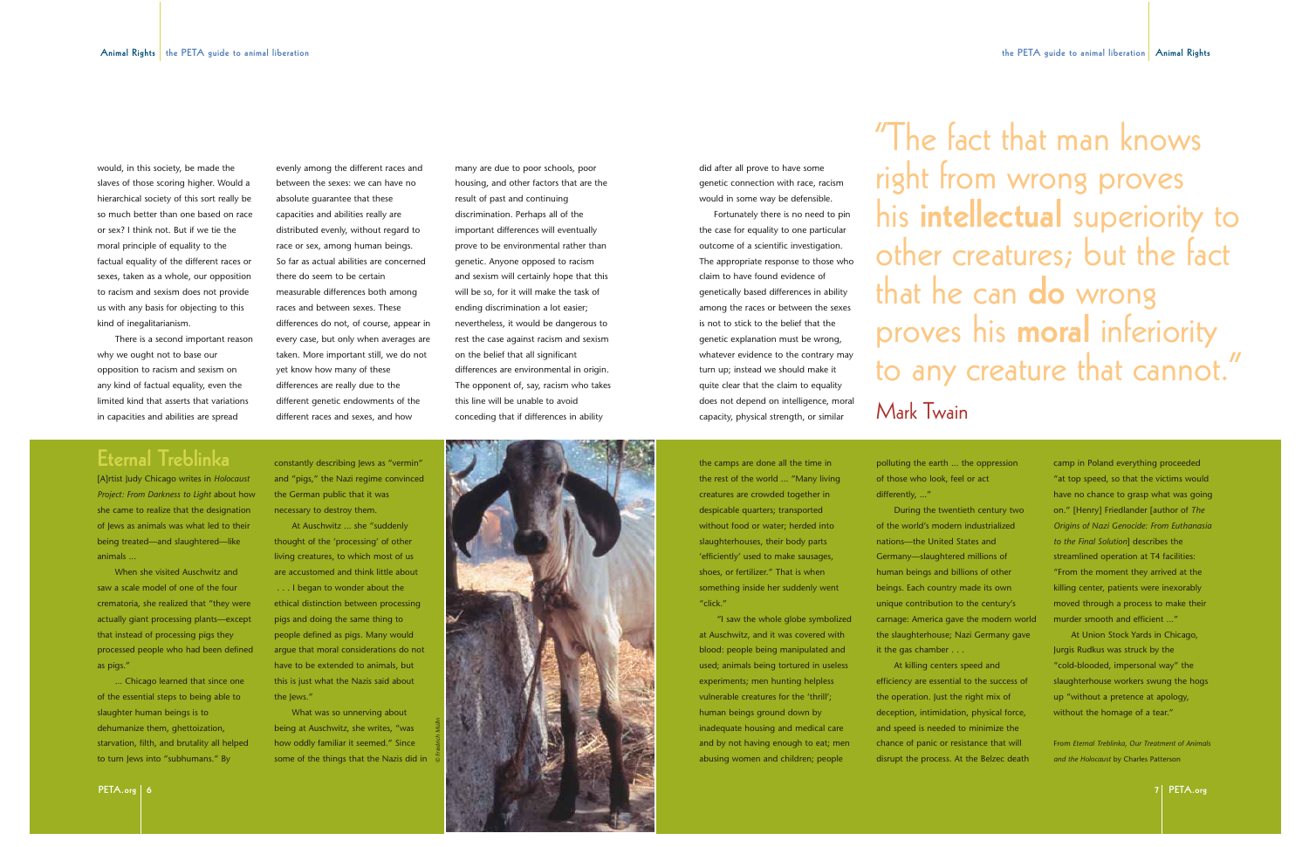did after all prove to have some genetic connection with race, racism would in some way be defensible.

Fortunately there is no need to pin the case for equality to one particular outcome of a scientific investigation. The appropriate response to those who claim to have found evidence of genetically based differences in ability among the races or between the sexes is not to stick to the belief that the genetic explanation must be wrong, whatever evidence to the contrary may turn up; instead we should make it quite clear that the claim to equality does not depend on intelligence, moral capacity, physical strength, or similar

would, in this society, be made the slaves of those scoring higher. Would a hierarchical society of this sort really be so much better than one based on race or sex? I think not. But if we tie the moral principle of equality to the factual equality of the different races or sexes, taken as a whole, our opposition to racism and sexism does not provide us with any basis for objecting to this kind of inegalitarianism.

There is a second important reason why we ought not to base our opposition to racism and sexism on any kind of factual equality, even the limited kind that asserts that variations in capacities and abilities are spread

.. Chicago learned that since one of the essential steps to being able to slaughter human beings is to dehumanize them, ghettoization, starvation, filth, and brutality all helped to turn Jews into "subhumans." By

evenly among the different races and between the sexes: we can have no absolute guarantee that these capacities and abilities really are distributed evenly, without regard to race or sex, among human beings. So far as actual abilities are concerned there do seem to be certain measurable differences both among races and between sexes. These differences do not, of course, appear in every case, but only when averages are taken. More important still, we do not yet know how many of these differences are really due to the different genetic endowments of the different races and sexes, and how

At Auschwitz ... she "suddenly thought of the 'processing' of other living creatures, to which most of us are accustomed and think little about . . . I began to wonder about the ethical distinction between processing pigs and doing the same thing to people defined as pigs. Many would argue that moral considerations do not have to be extended to animals, but this is just what the Nazis said about the lews."

What was so unnerving about being at Auschwitz, she writes, "was how oddly familiar it seemed." Since some of the things that the Nazis did in many are due to poor schools, poor housing, and other factors that are the result of past and continuing discrimination. Perhaps all of the important differences will eventually prove to be environmental rather than genetic. Anyone opposed to racism and sexism will certainly hope that this will be so, for it will make the task of ending discrimination a lot easier; nevertheless, it would be dangerous to rest the case against racism and sexism on the belief that all significant differences are environmental in origin. The opponent of, say, racism who takes this line will be unable to avoid

### **Eternal Treblinka**

[A]rtist Judy Chicago writes in *Holocaust Project: From Darkness to Light* about how she came to realize that the designation of Jews as animals was what led to their being treated—and slaughtered—like animals ...

When she visited Auschwitz and saw a scale model of one of the four crematoria, she realized that "they were actually giant processing plants—except that instead of processing pigs they processed people who had been defined as pigs."

constantly describing Jews as "vermin" and "pigs," the Nazi regime convinced the German public that it was necessary to destroy them.

the camps are done all the time in the rest of the world ... "Many living creatures are crowded together in despicable quarters; transported without food or water; herded into slaughterhouses, their body parts 'efficiently' used to make sausages, shoes, or fertilizer." That is when something inside her suddenly went "click."



"I saw the whole globe symbolized at Auschwitz, and it was covered with blood: people being manipulated and used; animals being tortured in useless experiments; men hunting helpless vulnerable creatures for the 'thrill'; human beings ground down by inadequate housing and medical care and by not having enough to eat; men abusing women and children; people

polluting the earth ... the oppression of those who look, feel or act differently, ..."

During the twentieth century two of the world's modern industrialized nations—the United States and Germany—slaughtered millions of human beings and billions of other beings. Each country made its own unique contribution to the century's carnage: America gave the modern world the slaughterhouse; Nazi Germany gave it the gas chamber . . .

At killing centers speed and efficiency are essential to the success of the operation. Just the right mix of deception, intimidation, physical force, and speed is needed to minimize the chance of panic or resistance that will disrupt the process. At the Belzec death

camp in Poland everything proceeded "at top speed, so that the victims would have no chance to grasp what was going on." [Henry] Friedlander [author of *The Origins of Nazi Genocide: From Euthanasia to the Final Solution*] describes the streamlined operation at T4 facilities: "From the moment they arrived at the killing center, patients were inexorably moved through a process to make their murder smooth and efficient ..."

At Union Stock Yards in Chicago, Jurgis Rudkus was struck by the "cold-blooded, impersonal way" the slaughterhouse workers swung the hogs up "without a pretence at apology, without the homage of a tear."

From *Eternal Treblinka, Our Treatment of Animals and the Holocaust* by Charles Patterson

# "The fact that man knows right from wrong proves his **intellectual** superiority to other creatures; but the fact that he can **do** wrong proves his **moral** inferiority to any creature that cannot."

Mark Twain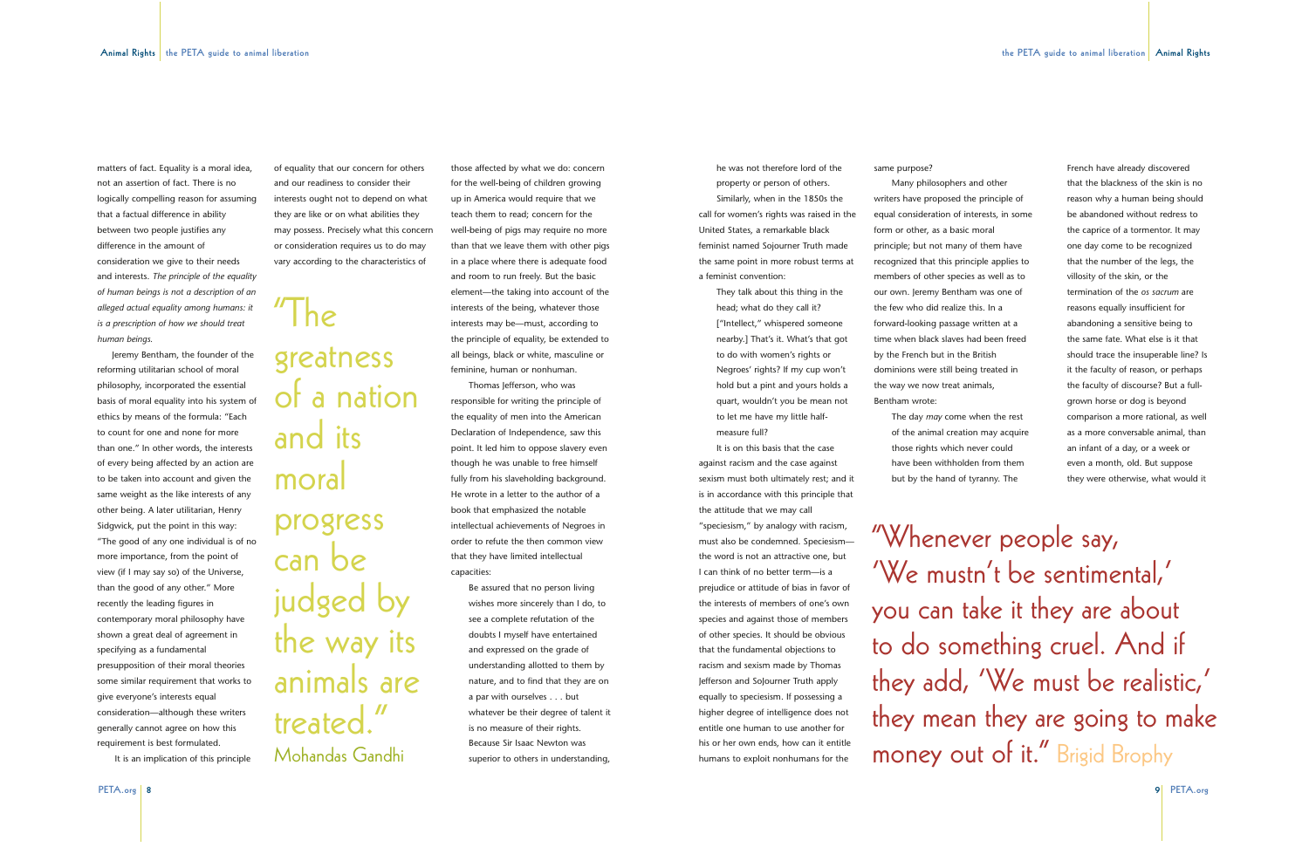matters of fact. Equality is a moral idea, not an assertion of fact. There is no logically compelling reason for assuming that a factual difference in ability between two people justifies any difference in the amount of consideration we give to their needs and interests. *The principle of the equality of human beings is not a description of an alleged actual equality among humans: it is a prescription of how we should treat human beings.*

Jeremy Bentham, the founder of the reforming utilitarian school of moral philosophy, incorporated the essential basis of moral equality into his system of ethics by means of the formula: "Each to count for one and none for more than one." In other words, the interests of every being affected by an action are to be taken into account and given the same weight as the like interests of any other being. A later utilitarian, Henry Sidgwick, put the point in this way: "The good of any one individual is of no more importance, from the point of view (if I may say so) of the Universe, than the good of any other." More recently the leading figures in contemporary moral philosophy have shown a great deal of agreement in specifying as a fundamental presupposition of their moral theories some similar requirement that works to give everyone's interests equal consideration—although these writers generally cannot agree on how this requirement is best formulated.

It is an implication of this principle

of equality that our concern for others and our readiness to consider their interests ought not to depend on what they are like or on what abilities they may possess. Precisely what this concern or consideration requires us to do may vary according to the characteristics of

ne greatness of a nation and its moral progress can be judged by the way its animals are treated." Mohandas Gandhi

those affected by what we do: concern for the well-being of children growing up in America would require that we teach them to read; concern for the well-being of pigs may require no more than that we leave them with other pigs in a place where there is adequate food and room to run freely. But the basic element—the taking into account of the interests of the being, whatever those interests may be—must, according to the principle of equality, be extended to all beings, black or white, masculine or feminine, human or nonhuman.

Thomas Jefferson, who was responsible for writing the principle of the equality of men into the American Declaration of Independence, saw this point. It led him to oppose slavery even though he was unable to free himself fully from his slaveholding background. He wrote in a letter to the author of a book that emphasized the notable intellectual achievements of Negroes in order to refute the then common view that they have limited intellectual capacities:

> Be assured that no person living wishes more sincerely than I do, to see a complete refutation of the doubts I myself have entertained and expressed on the grade of understanding allotted to them by nature, and to find that they are on a par with ourselves . . . but whatever be their degree of talent it is no measure of their rights. Because Sir Isaac Newton was superior to others in understanding,

"Whenever people say, 'We mustn't be sentimental,' you can take it they are about to do something cruel. And if they add, 'We must be realistic,' they mean they are going to make money out of it." Brigid Brophy

he was not therefore lord of the property or person of others.

Similarly, when in the 1850s the call for women's rights was raised in the United States, a remarkable black feminist named Sojourner Truth made the same point in more robust terms at a feminist convention:

They talk about this thing in the head; what do they call it? ["Intellect," whispered someone nearby.] That's it. What's that got to do with women's rights or Negroes' rights? If my cup won't hold but a pint and yours holds a quart, wouldn't you be mean not to let me have my little halfmeasure full?

It is on this basis that the case against racism and the case against sexism must both ultimately rest; and it is in accordance with this principle that the attitude that we may call "speciesism," by analogy with racism, must also be condemned. Speciesism the word is not an attractive one, but I can think of no better term—is a prejudice or attitude of bias in favor of the interests of members of one's own species and against those of members of other species. It should be obvious that the fundamental objections to racism and sexism made by Thomas Jefferson and SoJourner Truth apply equally to speciesism. If possessing a higher degree of intelligence does not entitle one human to use another for his or her own ends, how can it entitle humans to exploit nonhumans for the

same purpose?

Many philosophers and other writers have proposed the principle of equal consideration of interests, in some form or other, as a basic moral principle; but not many of them have recognized that this principle applies to members of other species as well as to our own. Jeremy Bentham was one of the few who did realize this. In a forward-looking passage written at a time when black slaves had been freed by the French but in the British dominions were still being treated in the way we now treat animals, Bentham wrote:

The day *may* come when the rest of the animal creation may acquire those rights which never could have been withholden from them but by the hand of tyranny. The

French have already discovered that the blackness of the skin is no reason why a human being should be abandoned without redress to the caprice of a tormentor. It may one day come to be recognized that the number of the legs, the villosity of the skin, or the termination of the *os sacrum* are reasons equally insufficient for abandoning a sensitive being to the same fate. What else is it that should trace the insuperable line? Is it the faculty of reason, or perhaps the faculty of discourse? But a fullgrown horse or dog is beyond comparison a more rational, as well as a more conversable animal, than an infant of a day, or a week or even a month, old. But suppose they were otherwise, what would it

**PETA.org <sup>8</sup> 9 PETA.org**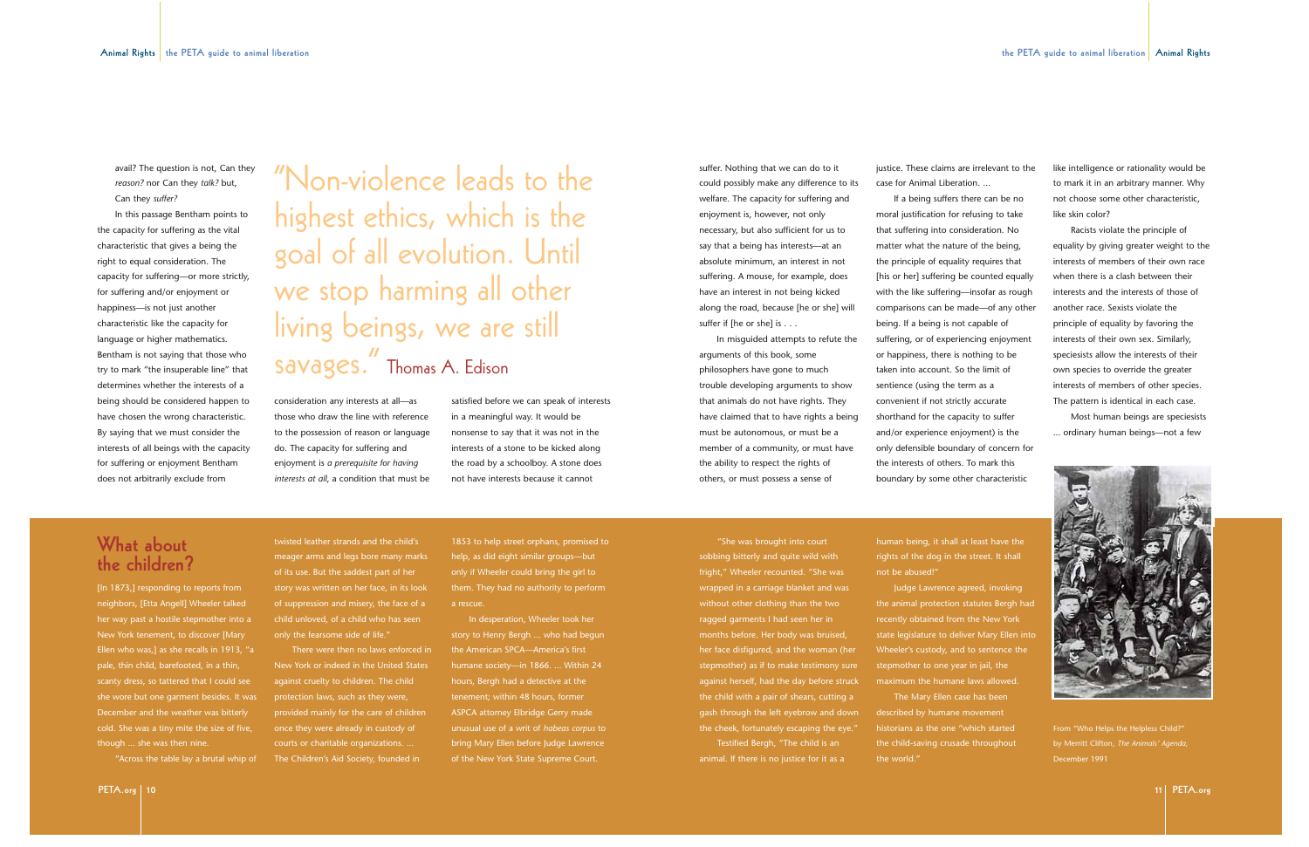avail? The question is not, Can they *reason?* nor Can they *talk?* but, Can they *suffer?*

In this passage Bentham points to the capacity for suffering as the vital characteristic that gives a being the right to equal consideration. The capacity for suffering—or more strictly, for suffering and/or enjoyment or happiness—is not just another characteristic like the capacity for language or higher mathematics. Bentham is not saying that those who try to mark "the insuperable line" that determines whether the interests of a being should be considered happen to have chosen the wrong characteristic. By saying that we must consider the interests of all beings with the capacity for suffering or enjoyment Bentham does not arbitrarily exclude from

suffer. Nothing that we can do to it could possibly make any difference to its welfare. The capacity for suffering and enjoyment is, however, not only necessary, but also sufficient for us to say that a being has interests—at an absolute minimum, an interest in not suffering. A mouse, for example, does have an interest in not being kicked along the road, because [he or she] will suffer if [he or she] is . . .

consideration any interests at all—as those who draw the line with reference to the possession of reason or language do. The capacity for suffering and enjoyment is *a prerequisite for having interests at all*, a condition that must be

satisfied before we can speak of interests in a meaningful way. It would be nonsense to say that it was not in the interests of a stone to be kicked along the road by a schoolboy. A stone does not have interests because it cannot

In misguided attempts to refute the arguments of this book, some philosophers have gone to much trouble developing arguments to show that animals do not have rights. They have claimed that to have rights a being must be autonomous, or must be a member of a community, or must have the ability to respect the rights of others, or must possess a sense of

justice. These claims are irrelevant to the case for Animal Liberation. ...

If a being suffers there can be no moral justification for refusing to take that suffering into consideration. No matter what the nature of the being, the principle of equality requires that [his or her] suffering be counted equally with the like suffering—insofar as rough comparisons can be made—of any other being. If a being is not capable of suffering, or of experiencing enjoyment or happiness, there is nothing to be taken into account. So the limit of sentience (using the term as a convenient if not strictly accurate shorthand for the capacity to suffer and/or experience enjoyment) is the only defensible boundary of concern for the interests of others. To mark this boundary by some other characteristic

like intelligence or rationality would be to mark it in an arbitrary manner. Why not choose some other characteristic, like skin color?

Racists violate the principle of equality by giving greater weight to the interests of members of their own race when there is a clash between their interests and the interests of those of another race. Sexists violate the principle of equality by favoring the interests of their own sex. Similarly, speciesists allow the interests of their own species to override the greater interests of members of other species. The pattern is identical in each case.

Most human beings are speciesists ... ordinary human beings—not a few

### **What about the children?**

[In 1873,] responding to reports from neighbors, [Etta Angell] Wheeler talked her way past a hostile stepmother into a New York tenement, to discover [Mary Ellen who was,] as she recalls in 1913, "a pale, thin child, barefooted, in a thin, she wore but one garment besides. It was December and the weather was bitterly cold. She was a tiny mite the size of five, though ... she was then nine.

"Across the table lay a brutal whip of

twisted leather strands and the child's meager arms and legs bore many marks of its use. But the saddest part of her of suppression and misery, the face of a child unloved, of a child who has seen only the fearsome side of life."

There were then no laws enforced in New York or indeed in the United States against cruelty to children. The child protection laws, such as they were, provided mainly for the care of children once they were already in custody of courts or charitable organizations. ... The Children's Aid Society, founded in

1853 to help street orphans, promised to help, as did eight similar groups—but only if Wheeler could bring the girl to them. They had no authority to perform a rescue.

In desperation, Wheeler took her story to Henry Bergh ... who had begun the American SPCA—America's first humane society—in 1866. ... Within 24 hours, Bergh had a detective at the tenement; within 48 hours, former ASPCA attorney Elbridge Gerry made unusual use of a writ of *habeas corpus* to bring Mary Ellen before Judge Lawrence of the New York State Supreme Court.

"She was brought into court sobbing bitterly and quite wild with fright," Wheeler recounted. "She was wrapped in a carriage blanket and was without other clothing than the two ragged garments I had seen her in months before. Her body was bruised, her face disfigured, and the woman (her stepmother) as if to make testimony sure against herself, had the day before struck the child with a pair of shears, cutting a gash through the left eyebrow and down the cheek, fortunately escaping the eye."

Testified Bergh, "The child is an animal. If there is no justice for it as a human being, it shall at least have the rights of the dog in the street. It shall not be abused!"

Judge Lawrence agreed, invoking the animal protection statutes Bergh had recently obtained from the New York state legislature to deliver Mary Ellen into Wheeler's custody, and to sentence the stepmother to one year in jail, the The Mary Ellen case has been described by humane movement historians as the one "which started

the child-saving crusade throughout the world."



From "Who Helps the Helpless Child?" by Merritt Clifton, *The Animals' Agenda,* December 1991

"Non-violence leads to the highest ethics, which is the goal of all evolution. Until we stop harming all other living beings, we are still savages." Thomas A. Edison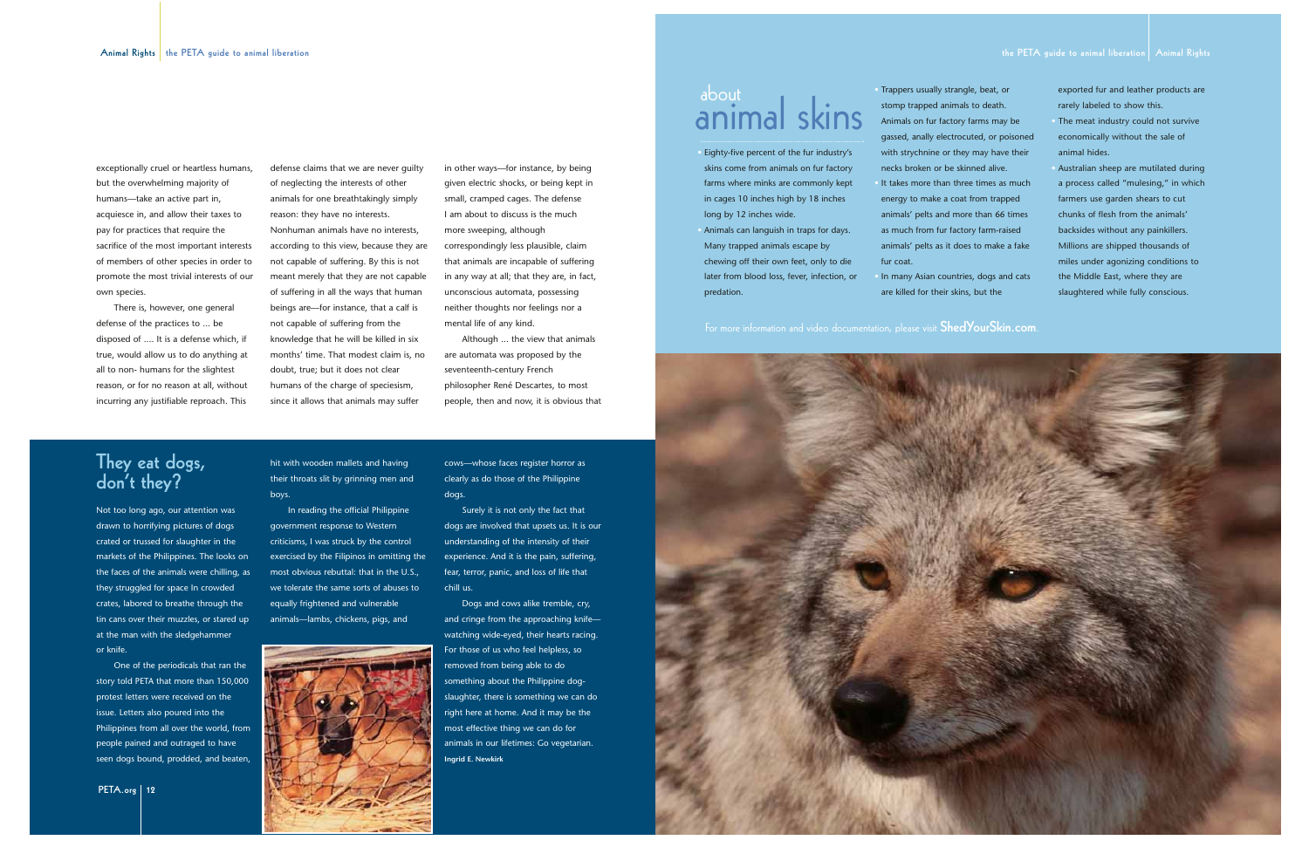### **They eat dogs, don't they?**

Not too long ago, our attention was drawn to horrifying pictures of dogs crated or trussed for slaughter in the markets of the Philippines. The looks on the faces of the animals were chilling, as they struggled for space In crowded crates, labored to breathe through the tin cans over their muzzles, or stared up at the man with the sledgehammer or knife.

One of the periodicals that ran the story told PETA that more than 150,000 protest letters were received on the issue. Letters also poured into the Philippines from all over the world, from people pained and outraged to have seen dogs bound, prodded, and beaten,

hit with wooden mallets and having their throats slit by grinning men and boys.

In reading the official Philippine government response to Western criticisms, I was struck by the control exercised by the Filipinos in omitting the most obvious rebuttal: that in the U.S., we tolerate the same sorts of abuses to equally frightened and vulnerable animals—lambs, chickens, pigs, and



cows—whose faces register horror as clearly as do those of the Philippine dogs.

Surely it is not only the fact that dogs are involved that upsets us. It is our understanding of the intensity of their experience. And it is the pain, suffering, fear, terror, panic, and loss of life that chill us.

Dogs and cows alike tremble, cry, and cringe from the approaching knife watching wide-eyed, their hearts racing. For those of us who feel helpless, so removed from being able to do something about the Philippine dogslaughter, there is something we can do right here at home. And it may be the most effective thing we can do for animals in our lifetimes: Go vegetarian. **Ingrid E. Newkirk**

# about<br>animal skins

exceptionally cruel or heartless humans, but the overwhelming majority of humans—take an active part in, acquiesce in, and allow their taxes to pay for practices that require the sacrifice of the most important interests of members of other species in order to promote the most trivial interests of our own species.

There is, however, one general defense of the practices to ... be disposed of .... It is a defense which, if true, would allow us to do anything at all to non- humans for the slightest reason, or for no reason at all, without incurring any justifiable reproach. This

defense claims that we are never guilty of neglecting the interests of other animals for one breathtakingly simply reason: they have no interests. Nonhuman animals have no interests, according to this view, because they are not capable of suffering. By this is not meant merely that they are not capable of suffering in all the ways that human beings are—for instance, that a calf is not capable of suffering from the knowledge that he will be killed in six months' time. That modest claim is, no doubt, true; but it does not clear humans of the charge of speciesism, since it allows that animals may suffer

in other ways—for instance, by being given electric shocks, or being kept in small, cramped cages. The defense I am about to discuss is the much more sweeping, although correspondingly less plausible, claim that animals are incapable of suffering in any way at all; that they are, in fact, unconscious automata, possessing neither thoughts nor feelings nor a mental life of any kind.

Although ... the view that animals are automata was proposed by the seventeenth-century French philosopher René Descartes, to most people, then and now, it is obvious that

- Eighty-five percent of the fur industry's skins come from animals on fur factory farms where minks are commonly kept in cages 10 inches high by 18 inches long by 12 inches wide.
- Animals can languish in traps for days. Many trapped animals escape by chewing off their own feet, only to die later from blood loss, fever, infection, or predation.

• Trappers usually strangle, beat, or stomp trapped animals to death. Animals on fur factory farms may be gassed, anally electrocuted, or poisoned with strychnine or they may have their necks broken or be skinned alive.

• It takes more than three times as much energy to make a coat from trapped animals' pelts and more than 66 times as much from fur factory farm-raised animals' pelts as it does to make a fake

fur coat.



 In many Asian countries, dogs and cats are killed for their skins, but the

exported fur and leather products are rarely labeled to show this.

- The meat industry could not survive economically without the sale of animal hides.
- • Australian sheep are mutilated during a process called "mulesing," in which farmers use garden shears to cut chunks of flesh from the animals' backsides without any painkillers. Millions are shipped thousands of miles under agonizing conditions to the Middle East, where they are slaughtered while fully conscious.

#### For more information and video documentation, please visit **ShedYourSkin.com**.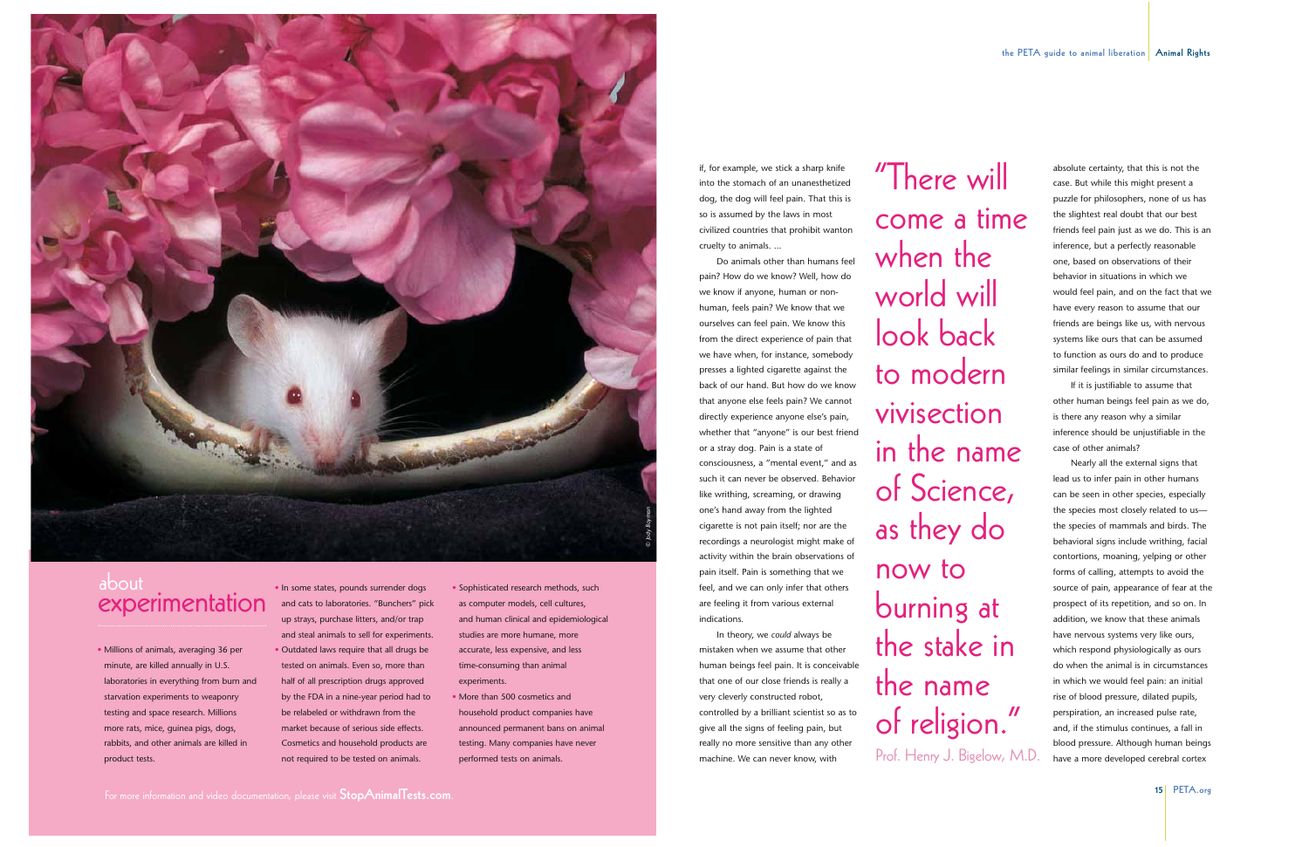if, for example, we stick a sharp knife into the stomach of an unanesthetized dog, the dog will feel pain. That this is so is assumed by the laws in most civilized countries that prohibit wanton cruelty to animals. ...

Do animals other than humans feel pain? How do we know? Well, how do we know if anyone, human or nonhuman, feels pain? We know that we ourselves can feel pain. We know this from the direct experience of pain that we have when, for instance, somebody presses a lighted cigarette against the back of our hand. But how do we know that anyone else feels pain? We cannot directly experience anyone else's pain, whether that "anyone" is our best friend or a stray dog. Pain is a state of consciousness, a "mental event," and as such it can never be observed. Behavior like writhing, screaming, or drawing one's hand away from the lighted cigarette is not pain itself; nor are the recordings a neurologist might make of activity within the brain observations of pain itself. Pain is something that we feel, and we can only infer that others are feeling it from various external indications.

In theory, we *could* always be mistaken when we assume that other human beings feel pain. It is conceivable that one of our close friends is really a very cleverly constructed robot, controlled by a brilliant scientist so as to give all the signs of feeling pain, but really no more sensitive than any other machine. We can never know, with

absolute certainty, that this is not the case. But while this might present a puzzle for philosophers, none of us has the slightest real doubt that our best friends feel pain just as we do. This is an inference, but a perfectly reasonable one, based on observations of their behavior in situations in which we would feel pain, and on the fact that we have every reason to assume that our friends are beings like us, with nervous systems like ours that can be assumed to function as ours do and to produce similar feelings in similar circumstances.

If it is justifiable to assume that other human beings feel pain as we do, is there any reason why a similar inference should be unjustifiable in the case of other animals?

Nearly all the external signs that lead us to infer pain in other humans can be seen in other species, especially the species most closely related to us the species of mammals and birds. The behavioral signs include writhing, facial contortions, moaning, yelping or other forms of calling, attempts to avoid the source of pain, appearance of fear at the prospect of its repetition, and so on. In addition, we know that these animals have nervous systems very like ours, which respond physiologically as ours do when the animal is in circumstances in which we would feel pain: an initial rise of blood pressure, dilated pupils, perspiration, an increased pulse rate, and, if the stimulus continues, a fall in blood pressure. Although human beings have a more developed cerebral cortex

• Millions of animals, averaging 36 per minute, are killed annually in U.S. laboratories in everything from burn and starvation experiments to weaponry testing and space research. Millions more rats, mice, guinea pigs, dogs, rabbits, and other animals are killed in product tests.

• In some states, pounds surrender dogs and cats to laboratories. "Bunchers" pick up strays, purchase litters, and/or trap and steal animals to sell for experiments. • Outdated laws require that all drugs be tested on animals. Even so, more than half of all prescription drugs approved by the FDA in a nine-year period had to be relabeled or withdrawn from the

market because of serious side effects. Cosmetics and household products are not required to be tested on animals.

- Sophisticated research methods, such as computer models, cell cultures, and human clinical and epidemiological studies are more humane, more accurate, less expensive, and less time-consuming than animal experiments.
- More than 500 cosmetics and household product companies have announced permanent bans on animal testing. Many companies have never performed tests on animals.



"There will come a time when the world will look back to modern vivisection in the name of Science, as they do now to burning at the stake in the name of religion." Prof. Henry J. Bigelow, M.D.

# experimentation about

For more information and video documentation, please visit **StopAnimalTests.com**. **<sup>15</sup> PETA.org**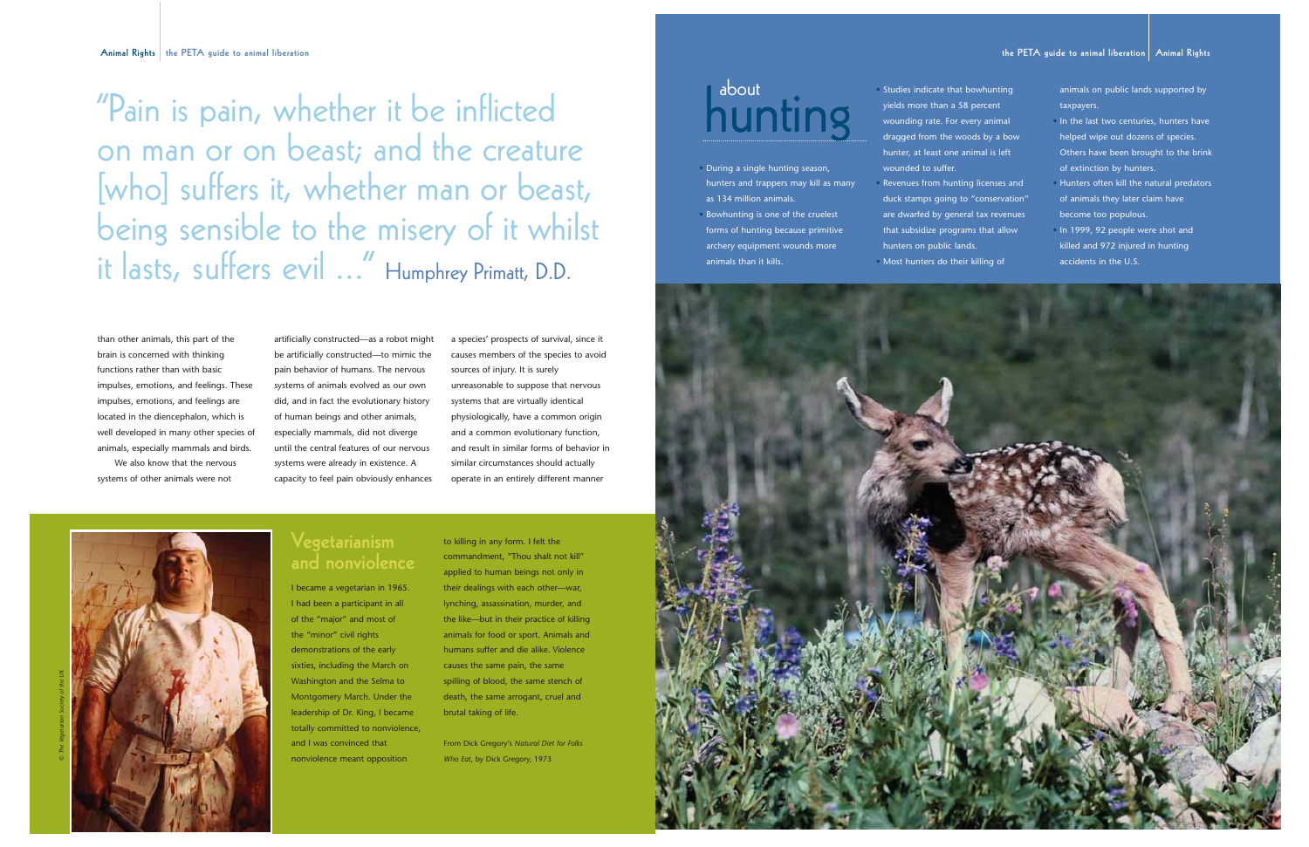than other animals, this part of the brain is concerned with thinking functions rather than with basic impulses, emotions, and feelings. These impulses, emotions, and feelings are located in the diencephalon, which is well developed in many other species of animals, especially mammals and birds. We also know that the nervous

systems of other animals were not

artificially constructed—as a robot might be artificially constructed—to mimic the pain behavior of humans. The nervous systems of animals evolved as our own did, and in fact the evolutionary history of human beings and other animals, especially mammals, did not diverge until the central features of our nervous systems were already in existence. A capacity to feel pain obviously enhances a species' prospects of survival, since it causes members of the species to avoid sources of injury. It is surely unreasonable to suppose that nervous systems that are virtually identical physiologically, have a common origin and a common evolutionary function, and result in similar forms of behavior in similar circumstances should actually operate in an entirely different manner

- During a single hunting season, hunters and trappers may kill as many as 134 million animals.
- Bowhunting is one of the cruelest forms of hunting because primitive archery equipment wounds more animals than it kills.
- Studies indicate that bowhunting yields more than a 58 percent wounding rate. For every animal dragged from the woods by a bow hunter, at least one animal is left wounded to suffer.
- duck stamps going to "conservation" are dwarfed by general tax revenues that subsidize programs that allow hunters on public lands. • Most hunters do their killing of

•



- Revenues from hunting licenses and
	-

animals on public lands supported by taxpayers.

- In the last two centuries, hunters have helped wipe out dozens of species. Others have been brought to the brink of extinction by hunters.
- Hunters often kill the natural predators of animals they later claim have become too populous.
- In 1999, 92 people were shot and killed and 972 injured in hunting accidents in the U.S.

"Pain is pain, whether it be inflicted on man or on beast; and the creature [who] suffers it, whether man or beast, being sensible to the misery of it whilst it lasts, suffers evil ..." Humphrey Primatt, D.D.

### **Vegetarianism and nonviolence**

I became a vegetarian in 1965. I had been a participant in all of the "major" and most of the "minor" civil rights demonstrations of the early sixties, including the March on Washington and the Selma to Montgomery March. Under the leadership of Dr. King, I became totally committed to nonviolence, and I was convinced that nonviolence meant opposition

#### to killing in any form. I felt the commandment, "Thou shalt not kill" applied to human beings not only in their dealings with each other—war, lynching, assassination, murder, and the like—but in their practice of killing animals for food or sport. Animals and humans suffer and die alike. Violence causes the same pain, the same spilling of blood, the same stench of death, the same arrogant, cruel and brutal taking of life.

From Dick Gregory's *Natural Diet for Folks*

# hunting



#### **the PETA guide to animal liberation Animal Rights**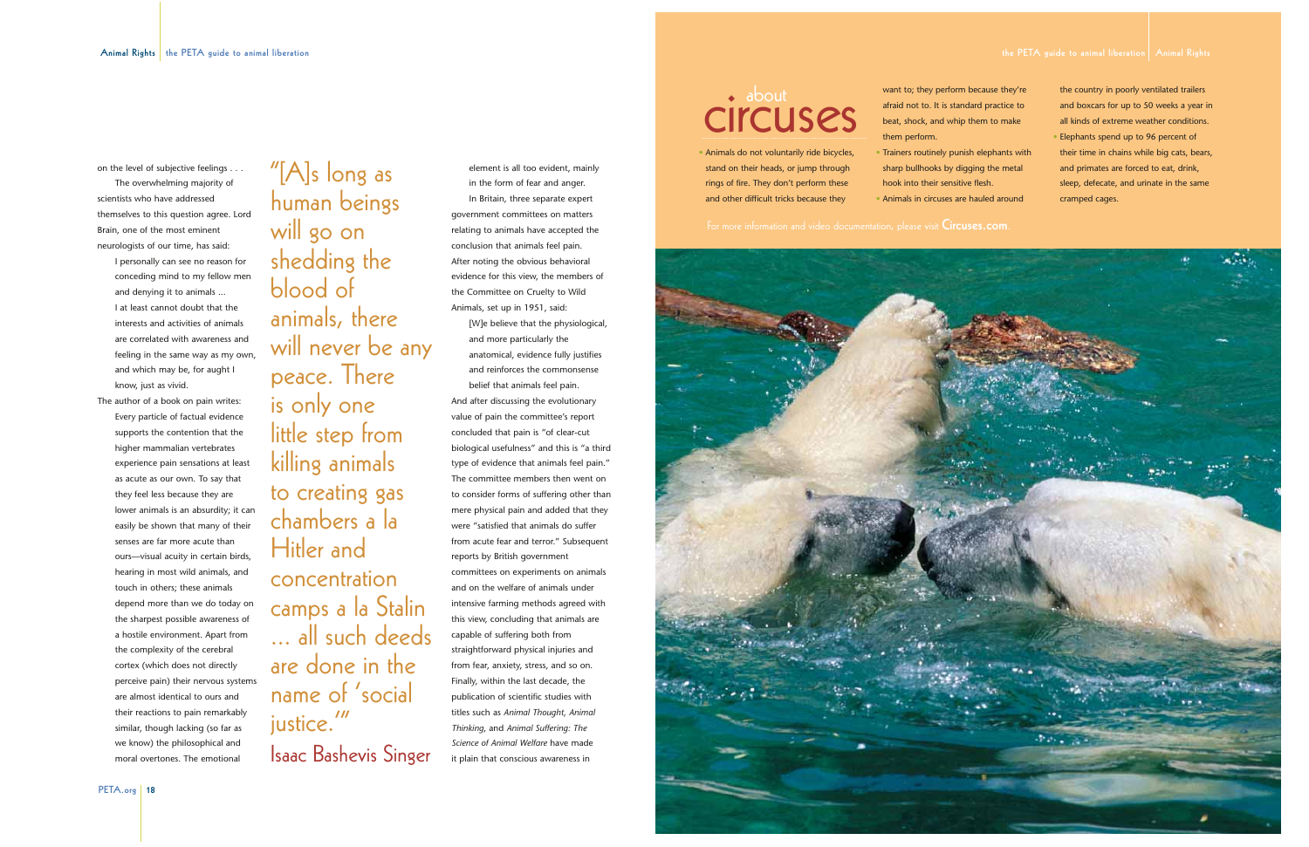on the level of subjective feelings . . . The overwhelming majority of scientists who have addressed themselves to this question agree. Lord Brain, one of the most eminent neurologists of our time, has said:

I personally can see no reason for conceding mind to my fellow men and denying it to animals ... I at least cannot doubt that the interests and activities of animals are correlated with awareness and feeling in the same way as my own, and which may be, for aught I know, just as vivid.

The author of a book on pain writes: Every particle of factual evidence supports the contention that the higher mammalian vertebrates experience pain sensations at least as acute as our own. To say that they feel less because they are lower animals is an absurdity; it can easily be shown that many of their senses are far more acute than ours—visual acuity in certain birds, hearing in most wild animals, and touch in others; these animals depend more than we do today on the sharpest possible awareness of a hostile environment. Apart from the complexity of the cerebral cortex (which does not directly perceive pain) their nervous systems are almost identical to ours and their reactions to pain remarkably similar, though lacking (so far as we know) the philosophical and moral overtones. The emotional

element is all too evident, mainly in the form of fear and anger. In Britain, three separate expert government committees on matters relating to animals have accepted the conclusion that animals feel pain. After noting the obvious behavioral evidence for this view, the members of the Committee on Cruelty to Wild Animals, set up in 1951, said:

> [W]e believe that the physiological, and more particularly the anatomical, evidence fully justifies and reinforces the commonsense belief that animals feel pain.

And after discussing the evolutionary value of pain the committee's report concluded that pain is "of clear-cut biological usefulness" and this is "a third type of evidence that animals feel pain." The committee members then went on to consider forms of suffering other than mere physical pain and added that they were "satisfied that animals do suffer from acute fear and terror." Subsequent reports by British government committees on experiments on animals and on the welfare of animals under intensive farming methods agreed with this view, concluding that animals are capable of suffering both from straightforward physical injuries and from fear, anxiety, stress, and so on. Finally, within the last decade, the publication of scientific studies with titles such as *Animal Thought, Animal Thinking*, and *Animal Suffering: The Science of Animal Welfare* have made it plain that conscious awareness in

# circuses

"[A]s long as human beings will go on shedding the blood of animals, there will never be any peace. There is only one little step from killing animals to creating gas chambers a la Hitler and concentration camps a la Stalin ... all such deeds are done in the name of 'social justice.'"

Isaac Bashevis Singer

• Animals do not voluntarily ride bicycles, stand on their heads, or jump through rings of fire. They don't perform these and other difficult tricks because they

want to; they perform because they're afraid not to. It is standard practice to beat, shock, and whip them to make

them perform.



• Trainers routinely punish elephants with sharp bullhooks by digging the metal • Animals in circuses are hauled around

hook into their sensitive flesh.

the country in poorly ventilated trailers and boxcars for up to 50 weeks a year in all kinds of extreme weather conditions. • Elephants spend up to 96 percent of their time in chains while big cats, bears, and primates are forced to eat, drink, sleep, defecate, and urinate in the same cramped cages.

For more information and video documentation, please visit **Circuses.com**.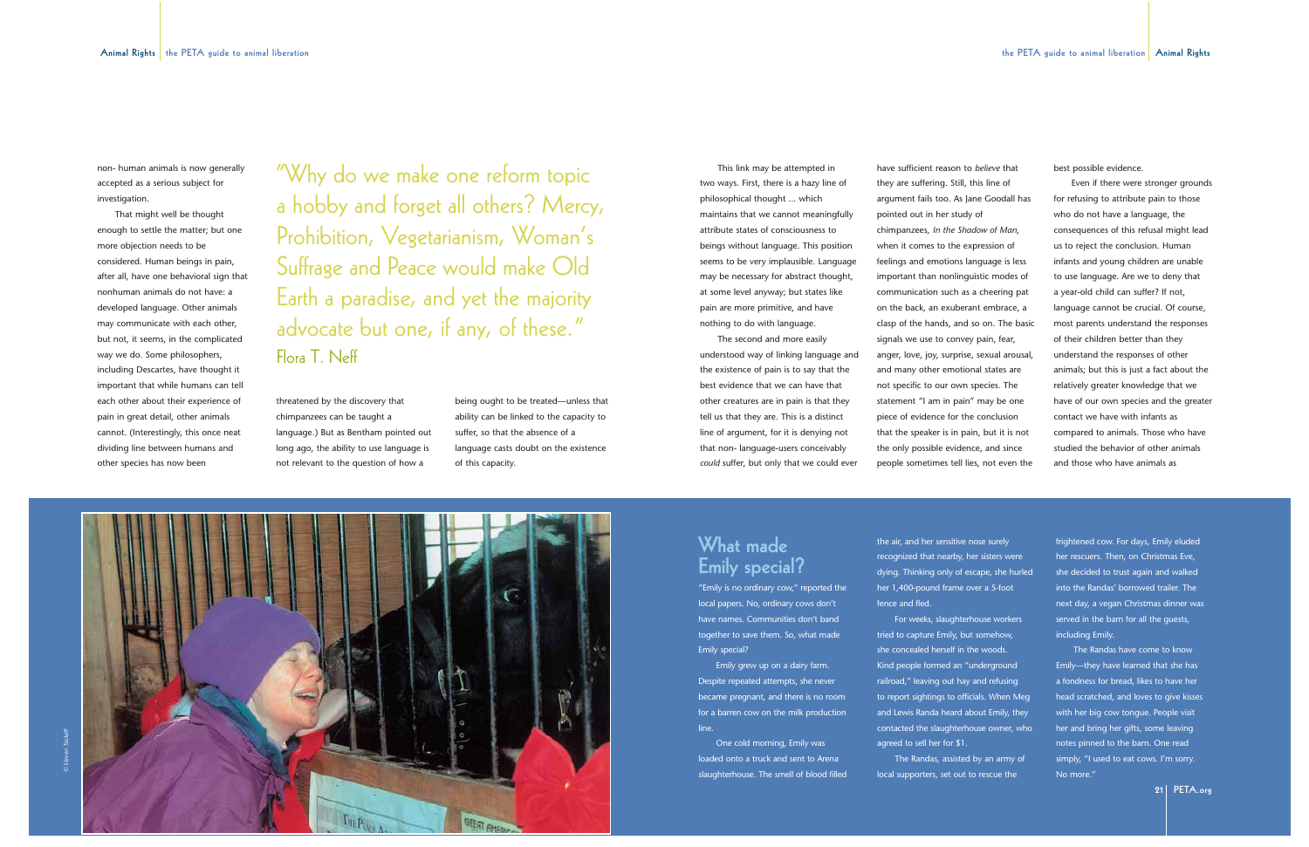This link may be attempted in two ways. First, there is a hazy line of philosophical thought ... which maintains that we cannot meaningfully attribute states of consciousness to beings without language. This position seems to be very implausible. Language may be necessary for abstract thought, at some level anyway; but states like pain are more primitive, and have nothing to do with language.

The second and more easily understood way of linking language and the existence of pain is to say that the best evidence that we can have that other creatures are in pain is that they tell us that they are. This is a distinct line of argument, for it is denying not that non- language-users conceivably *could* suffer, but only that we could ever

have sufficient reason to *believe* that they are suffering. Still, this line of argument fails too. As Jane Goodall has pointed out in her study of chimpanzees, *In the Shadow of Man*, when it comes to the expression of feelings and emotions language is less important than nonlinguistic modes of communication such as a cheering pat on the back, an exuberant embrace, a clasp of the hands, and so on. The basic signals we use to convey pain, fear, anger, love, joy, surprise, sexual arousal, and many other emotional states are not specific to our own species. The statement "I am in pain" may be one piece of evidence for the conclusion that the speaker is in pain, but it is not the only possible evidence, and since people sometimes tell lies, not even the

best possible evidence.

Even if there were stronger grounds for refusing to attribute pain to those who do not have a language, the consequences of this refusal might lead us to reject the conclusion. Human infants and young children are unable to use language. Are we to deny that a year-old child can suffer? If not, language cannot be crucial. Of course, most parents understand the responses of their children better than they understand the responses of other animals; but this is just a fact about the relatively greater knowledge that we have of our own species and the greater contact we have with infants as compared to animals. Those who have studied the behavior of other animals and those who have animals as

non- human animals is now generally accepted as a serious subject for investigation.

That might well be thought enough to settle the matter; but one more objection needs to be considered. Human beings in pain, after all, have one behavioral sign that nonhuman animals do not have: a developed language. Other animals may communicate with each other, but not, it seems, in the complicated way we do. Some philosophers, including Descartes, have thought it important that while humans can tell each other about their experience of pain in great detail, other animals cannot. (Interestingly, this once neat dividing line between humans and other species has now been

threatened by the discovery that chimpanzees can be taught a language.) But as Bentham pointed out long ago, the ability to use language is not relevant to the question of how a

being ought to be treated—unless that ability can be linked to the capacity to suffer, so that the absence of a language casts doubt on the existence of this capacity.

"Why do we make one reform topic a hobby and forget all others? Mercy, Prohibition, Vegetarianism, Woman's Suffrage and Peace would make Old Earth a paradise, and yet the majority advocate but one, if any, of these." Flora T. Neff



## **What made Emily special?**

"Emily is no ordinary cow," reported the local papers. No, ordinary cows don't have names. Communities don't band together to save them. So, what made Emily special?

Emily grew up on a dairy farm. Despite repeated attempts, she never became pregnant, and there is no room for a barren cow on the milk production line.

One cold morning, Emily was loaded onto a truck and sent to Arena slaughterhouse. The smell of blood filled the air, and her sensitive nose surely recognized that nearby, her sisters were dying. Thinking only of escape, she hurled her 1,400-pound frame over a 5-foot fence and fled.

For weeks, slaughterhouse workers tried to capture Emily, but somehow, she concealed herself in the woods. Kind people formed an "underground railroad," leaving out hay and refusing to report sightings to officials. When Meg and Lewis Randa heard about Emily, they contacted the slaughterhouse owner, who agreed to sell her for \$1.

The Randas, assisted by an army of local supporters, set out to rescue the

frightened cow. For days, Emily eluded her rescuers. Then, on Christmas Eve, she decided to trust again and walked into the Randas' borrowed trailer. The next day, a vegan Christmas dinner was served in the barn for all the guests, including Emily.

The Randas have come to know Emily—they have learned that she has a fondness for bread, likes to have her head scratched, and loves to give kisses with her big cow tongue. People visit her and bring her gifts, some leaving notes pinned to the barn. One read simply, "I used to eat cows. I'm sorry. No more."

**<sup>21</sup> PETA.org**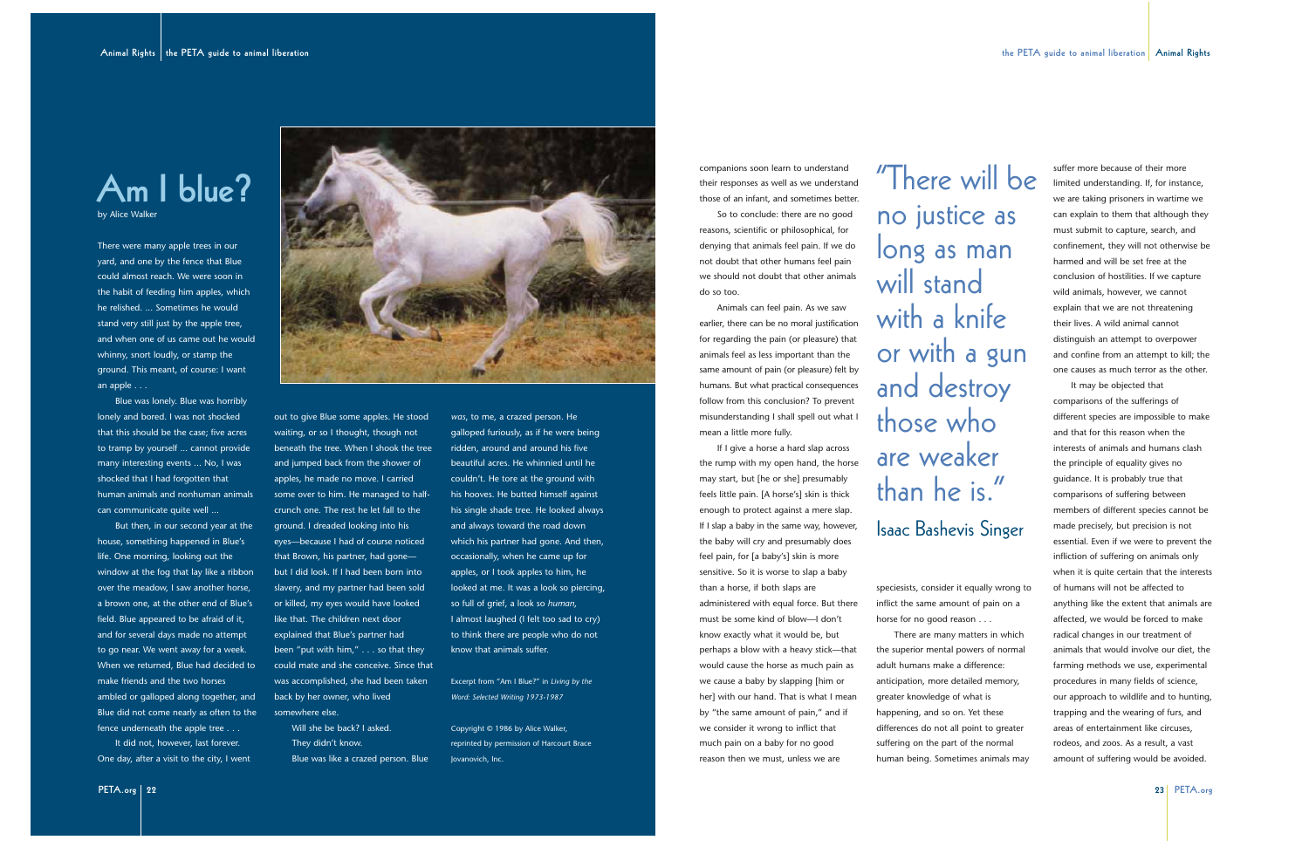**<sup>23</sup> PETA.org**

companions soon learn to understand their responses as well as we understand those of an infant, and sometimes better.

So to conclude: there are no good reasons, scientific or philosophical, for denying that animals feel pain. If we do not doubt that other humans feel pain we should not doubt that other animals do so too.

Animals can feel pain. As we saw earlier, there can be no moral justification for regarding the pain (or pleasure) that animals feel as less important than the same amount of pain (or pleasure) felt by humans. But what practical consequences follow from this conclusion? To prevent misunderstanding I shall spell out what I mean a little more fully.

If I give a horse a hard slap across the rump with my open hand, the horse may start, but [he or she] presumably feels little pain. [A horse's] skin is thick enough to protect against a mere slap. If I slap a baby in the same way, however, the baby will cry and presumably does feel pain, for [a baby's] skin is more sensitive. So it is worse to slap a baby than a horse, if both slaps are administered with equal force. But there must be some kind of blow—I don't know exactly what it would be, but perhaps a blow with a heavy stick—that would cause the horse as much pain as we cause a baby by slapping [him or her] with our hand. That is what I mean by "the same amount of pain," and if we consider it wrong to inflict that much pain on a baby for no good reason then we must, unless we are

speciesists, consider it equally wrong to inflict the same amount of pain on a horse for no good reason . . . There are many matters in which the superior mental powers of normal adult humans make a difference: anticipation, more detailed memory, greater knowledge of what is happening, and so on. Yet these differences do not all point to greater suffering on the part of the normal

human being. Sometimes animals may

suffer more because of their more limited understanding. If, for instance, we are taking prisoners in wartime we can explain to them that although they must submit to capture, search, and confinement, they will not otherwise be harmed and will be set free at the conclusion of hostilities. If we capture wild animals, however, we cannot explain that we are not threatening their lives. A wild animal cannot distinguish an attempt to overpower and confine from an attempt to kill; the one causes as much terror as the other.

It may be objected that comparisons of the sufferings of different species are impossible to make and that for this reason when the interests of animals and humans clash the principle of equality gives no guidance. It is probably true that comparisons of suffering between members of different species cannot be made precisely, but precision is not essential. Even if we were to prevent the infliction of suffering on animals only when it is quite certain that the interests of humans will not be affected to anything like the extent that animals are affected, we would be forced to make radical changes in our treatment of animals that would involve our diet, the farming methods we use, experimental procedures in many fields of science, our approach to wildlife and to hunting, trapping and the wearing of furs, and areas of entertainment like circuses, rodeos, and zoos. As a result, a vast amount of suffering would be avoided.



There were many apple trees in our yard, and one by the fence that Blue could almost reach. We were soon in the habit of feeding him apples, which he relished. ... Sometimes he would stand very still just by the apple tree, and when one of us came out he would whinny, snort loudly, or stamp the ground. This meant, of course: I want an apple . . .

Blue was lonely. Blue was horribly lonely and bored. I was not shocked that this should be the case; five acres to tramp by yourself ... cannot provide many interesting events ... No, I was shocked that I had forgotten that human animals and nonhuman animals can communicate quite well ...

But then, in our second year at the house, something happened in Blue's life. One morning, looking out the window at the fog that lay like a ribbon over the meadow, I saw another horse, a brown one, at the other end of Blue's field. Blue appeared to be afraid of it, and for several days made no attempt to go near. We went away for a week. When we returned, Blue had decided to make friends and the two horses ambled or galloped along together, and Blue did not come nearly as often to the fence underneath the apple tree . . .

It did not, however, last forever. One day, after a visit to the city, I went



out to give Blue some apples. He stood waiting, or so I thought, though not beneath the tree. When I shook the tree and jumped back from the shower of apples, he made no move. I carried some over to him. He managed to halfcrunch one. The rest he let fall to the ground. I dreaded looking into his eyes—because I had of course noticed that Brown, his partner, had gone but I did look. If I had been born into slavery, and my partner had been sold or killed, my eyes would have looked like that. The children next door explained that Blue's partner had been "put with him," . . . so that they could mate and she conceive. Since that was accomplished, she had been taken back by her owner, who lived somewhere else.

> Will she be back? I asked. They didn't know. Blue was like a crazed person. Blue

*was*, to me, a crazed person. He galloped furiously, as if he were being ridden, around and around his five beautiful acres. He whinnied until he couldn't. He tore at the ground with his hooves. He butted himself against his single shade tree. He looked always and always toward the road down which his partner had gone. And then, occasionally, when he came up for apples, or I took apples to him, he looked at me. It was a look so piercing, so full of grief, a look so *human*, I almost laughed (I felt too sad to cry) to think there are people who do not know that animals suffer.

Excerpt from "Am I Blue?" in *Living by the Word: Selected Writing 1973-1987*

Copyright © 1986 by Alice Walker, reprinted by permission of Harcourt Brace Jovanovich, Inc.

"There will be no justice as long as man will stand with a knife or with a gun and destroy those who are weaker than he is." Isaac Bashevis Singer